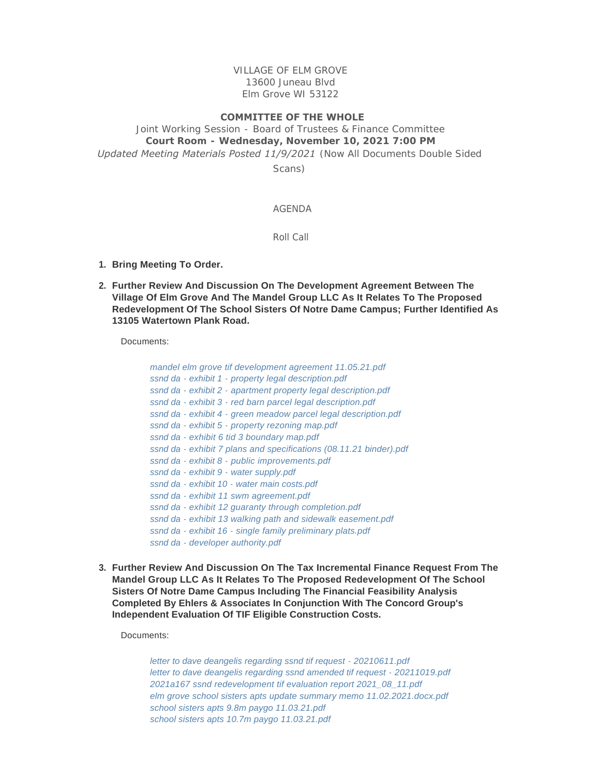VILLAGE OF ELM GROVE 13600 Juneau Blvd Elm Grove WI 53122

## **COMMITTEE OF THE WHOLE**

Joint Working Session - Board of Trustees & Finance Committee **Court Room - Wednesday, November 10, 2021 7:00 PM** *Updated Meeting Materials Posted 11/9/2021 (Now All Documents Double Sided* 

*Scans)* 

## AGENDA

Roll Call

- **Bring Meeting To Order. 1.**
- **Further Review And Discussion On The Development Agreement Between The 2. Village Of Elm Grove And The Mandel Group LLC As It Relates To The Proposed Redevelopment Of The School Sisters Of Notre Dame Campus; Further Identified As 13105 Watertown Plank Road.**

Documents:

| mandel elm grove tif development agreement 11.05.21.pdf            |  |
|--------------------------------------------------------------------|--|
| ssnd da - exhibit 1 - property legal description.pdf               |  |
| ssnd da - exhibit 2 - apartment property legal description.pdf     |  |
| ssnd da - exhibit 3 - red barn parcel legal description.pdf        |  |
| ssnd da - exhibit 4 - green meadow parcel legal description.pdf    |  |
| ssnd da - exhibit 5 - property rezoning map.pdf                    |  |
| ssnd da - exhibit 6 tid 3 boundary map.pdf                         |  |
| ssnd da - exhibit 7 plans and specifications (08.11.21 binder).pdf |  |
| ssnd da - exhibit 8 - public improvements.pdf                      |  |
| ssnd da - exhibit 9 - water supply.pdf                             |  |
| ssnd da - exhibit 10 - water main costs.pdf                        |  |
| ssnd da - exhibit 11 swm agreement.pdf                             |  |
| ssnd da - exhibit 12 guaranty through completion.pdf               |  |
| ssnd da - exhibit 13 walking path and sidewalk easement.pdf        |  |
| ssnd da - exhibit 16 - single family preliminary plats.pdf         |  |
| ssnd da - developer authority.pdf                                  |  |

**Further Review And Discussion On The Tax Incremental Finance Request From The 3. Mandel Group LLC As It Relates To The Proposed Redevelopment Of The School Sisters Of Notre Dame Campus Including The Financial Feasibility Analysis Completed By Ehlers & Associates In Conjunction With The Concord Group's Independent Evaluation Of TIF Eligible Construction Costs.**

Documents:

*[letter to dave deangelis regarding ssnd tif request - 20210611.pdf](https://elmgrovewi.org/AgendaCenter/ViewFile/Item/11112?fileID=17124) [letter to dave deangelis regarding ssnd amended tif request - 20211019.pdf](https://elmgrovewi.org/AgendaCenter/ViewFile/Item/11112?fileID=17123) [2021a167 ssnd redevelopment tif evaluation report 2021\\_08\\_11.pdf](https://elmgrovewi.org/AgendaCenter/ViewFile/Item/11112?fileID=17059) [elm grove school sisters apts update summary memo 11.02.2021.docx.pdf](https://elmgrovewi.org/AgendaCenter/ViewFile/Item/11112?fileID=17060) [school sisters apts 9.8m paygo 11.03.21.pdf](https://elmgrovewi.org/AgendaCenter/ViewFile/Item/11112?fileID=17061) [school sisters apts 10.7m paygo 11.03.21.pdf](https://elmgrovewi.org/AgendaCenter/ViewFile/Item/11112?fileID=17062)*